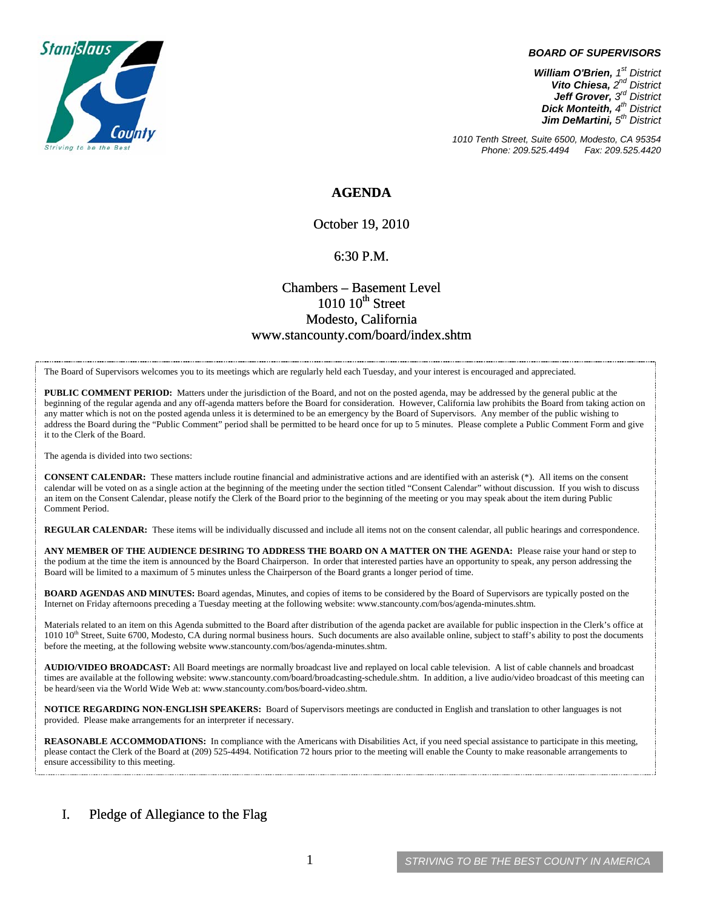

#### *BOARD OF SUPERVISORS*

*William O'Brien, 1st District Vito Chiesa, 2nd District Jeff Grover, 3rd District Dick Monteith, 4th District Jim DeMartini, 5th District*

*1010 Tenth Street, Suite 6500, Modesto, CA 95354 Phone: 209.525.4494* 

### **AGENDA**

October 19, 2010

#### 6:30 P.M.

## Chambers – Basement Level  $1010~10$ <sup>th</sup> Street Modesto, California www.stancounty.com/board/index.shtm

The Board of Supervisors welcomes you to its meetings which are regularly held each Tuesday, and your interest is encouraged and appreciated.

**PUBLIC COMMENT PERIOD:** Matters under the jurisdiction of the Board, and not on the posted agenda, may be addressed by the general public at the beginning of the regular agenda and any off-agenda matters before the Board for consideration. However, California law prohibits the Board from taking action on any matter which is not on the posted agenda unless it is determined to be an emergency by the Board of Supervisors. Any member of the public wishing to address the Board during the "Public Comment" period shall be permitted to be heard once for up to 5 minutes. Please complete a Public Comment Form and give it to the Clerk of the Board.

The agenda is divided into two sections:

**CONSENT CALENDAR:** These matters include routine financial and administrative actions and are identified with an asterisk (\*). All items on the consent calendar will be voted on as a single action at the beginning of the meeting under the section titled "Consent Calendar" without discussion. If you wish to discuss an item on the Consent Calendar, please notify the Clerk of the Board prior to the beginning of the meeting or you may speak about the item during Public Comment Period.

**REGULAR CALENDAR:** These items will be individually discussed and include all items not on the consent calendar, all public hearings and correspondence.

**ANY MEMBER OF THE AUDIENCE DESIRING TO ADDRESS THE BOARD ON A MATTER ON THE AGENDA:** Please raise your hand or step to the podium at the time the item is announced by the Board Chairperson. In order that interested parties have an opportunity to speak, any person addressing the Board will be limited to a maximum of 5 minutes unless the Chairperson of the Board grants a longer period of time.

**BOARD AGENDAS AND MINUTES:** Board agendas, Minutes, and copies of items to be considered by the Board of Supervisors are typically posted on the Internet on Friday afternoons preceding a Tuesday meeting at the following website: www.stancounty.com/bos/agenda-minutes.shtm.

Materials related to an item on this Agenda submitted to the Board after distribution of the agenda packet are available for public inspection in the Clerk's office at 1010 10<sup>th</sup> Street, Suite 6700, Modesto, CA during normal business hours. Such documents are also available online, subject to staff's ability to post the documents before the meeting, at the following website www.stancounty.com/bos/agenda-minutes.shtm.

**AUDIO/VIDEO BROADCAST:** All Board meetings are normally broadcast live and replayed on local cable television. A list of cable channels and broadcast times are available at the following website: www.stancounty.com/board/broadcasting-schedule.shtm. In addition, a live audio/video broadcast of this meeting can be heard/seen via the World Wide Web at: www.stancounty.com/bos/board-video.shtm.

**NOTICE REGARDING NON-ENGLISH SPEAKERS:** Board of Supervisors meetings are conducted in English and translation to other languages is not provided. Please make arrangements for an interpreter if necessary.

**REASONABLE ACCOMMODATIONS:** In compliance with the Americans with Disabilities Act, if you need special assistance to participate in this meeting, please contact the Clerk of the Board at (209) 525-4494. Notification 72 hours prior to the meeting will enable the County to make reasonable arrangements to ensure accessibility to this meeting.

### I. Pledge of Allegiance to the Flag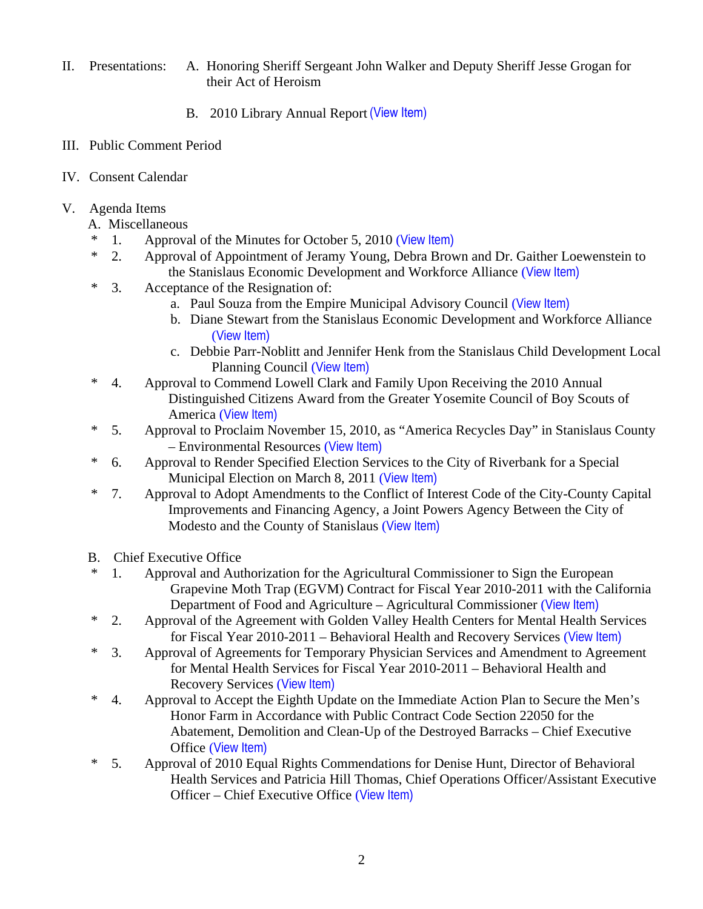- II. Presentations: A. Honoring Sheriff Sergeant John Walker and Deputy Sheriff Jesse Grogan for their Act of Heroism
	- B. 2010 Library Annual Report (View Item)
- III. Public Comment Period
- IV. Consent Calendar
- V. Agenda Items
	- A. Miscellaneous
	- \* 1. Approval of the Minutes for October 5, 2010 ([View Item\)](http://www.stancounty.com/bos/minutes/2010/min10-05-10.pdf)
	- \* 2. Approval of Appointment of Jeramy Young, Debra Brown and Dr. Gaither Loewenstein to the Stanislaus Economic Development and Workforce Alliance ([View Item\)](http://www.stancounty.com/bos/agenda/2010/20101019/A02.pdf)
	- \* 3. Acceptance of the Resignation of:
		- a. Paul Souza from the Empire Municipal Advisory Council ([View Item\)](http://www.stancounty.com/bos/agenda/2010/20101019/A03a.pdf)
		- b. Diane Stewart from the Stanislaus Economic Development and Workforce Alliance ([View Item\)](http://www.stancounty.com/bos/agenda/2010/20101019/A03b.pdf)
		- c. Debbie Parr-Noblitt and Jennifer Henk from the Stanislaus Child Development Local Planning Council ([View Item\)](http://www.stancounty.com/bos/agenda/2010/20101019/A03c.pdf)
	- \* 4. Approval to Commend Lowell Clark and Family Upon Receiving the 2010 Annual Distinguished Citizens Award from the Greater Yosemite Council of Boy Scouts of America ([View Item\)](http://www.stancounty.com/bos/agenda/2010/20101019/A04.pdf)
	- \* 5. Approval to Proclaim November 15, 2010, as "America Recycles Day" in Stanislaus County – Environmental Resources ([View Item\)](http://www.stancounty.com/bos/agenda/2010/20101019/A05.pdf)
	- \* 6. Approval to Render Specified Election Services to the City of Riverbank for a Special Municipal Election on March 8, 2011 ([View Item\)](http://www.stancounty.com/bos/agenda/2010/20101019/A06.pdf)
	- \* 7. Approval to Adopt Amendments to the Conflict of Interest Code of the City-County Capital Improvements and Financing Agency, a Joint Powers Agency Between the City of Modesto and the County of Stanislaus ([View Item\)](http://www.stancounty.com/bos/agenda/2010/20101019/A07.pdf)
	- B. Chief Executive Office
	- \* 1. Approval and Authorization for the Agricultural Commissioner to Sign the European Grapevine Moth Trap (EGVM) Contract for Fiscal Year 2010-2011 with the California Department of Food and Agriculture – Agricultural Commissioner ([View Item\)](http://www.stancounty.com/bos/agenda/2010/20101019/B01.pdf)
	- \* 2. Approval of the Agreement with Golden Valley Health Centers for Mental Health Services for Fiscal Year 2010-2011 – Behavioral Health and Recovery Services ([View Item\)](http://www.stancounty.com/bos/agenda/2010/20101019/B02.pdf)
	- \* 3. Approval of Agreements for Temporary Physician Services and Amendment to Agreement for Mental Health Services for Fiscal Year 2010-2011 – Behavioral Health and Recovery Services ([View Item\)](http://www.stancounty.com/bos/agenda/2010/20101019/B03.pdf)
	- \* 4. Approval to Accept the Eighth Update on the Immediate Action Plan to Secure the Men's Honor Farm in Accordance with Public Contract Code Section 22050 for the Abatement, Demolition and Clean-Up of the Destroyed Barracks – Chief Executive Office ([View Item\)](http://www.stancounty.com/bos/agenda/2010/20101019/B04.pdf)
	- \* 5. Approval of 2010 Equal Rights Commendations for Denise Hunt, Director of Behavioral Health Services and Patricia Hill Thomas, Chief Operations Officer/Assistant Executive Officer – Chief Executive Office ([View Item\)](http://www.stancounty.com/bos/agenda/2010/20101019/B05.pdf)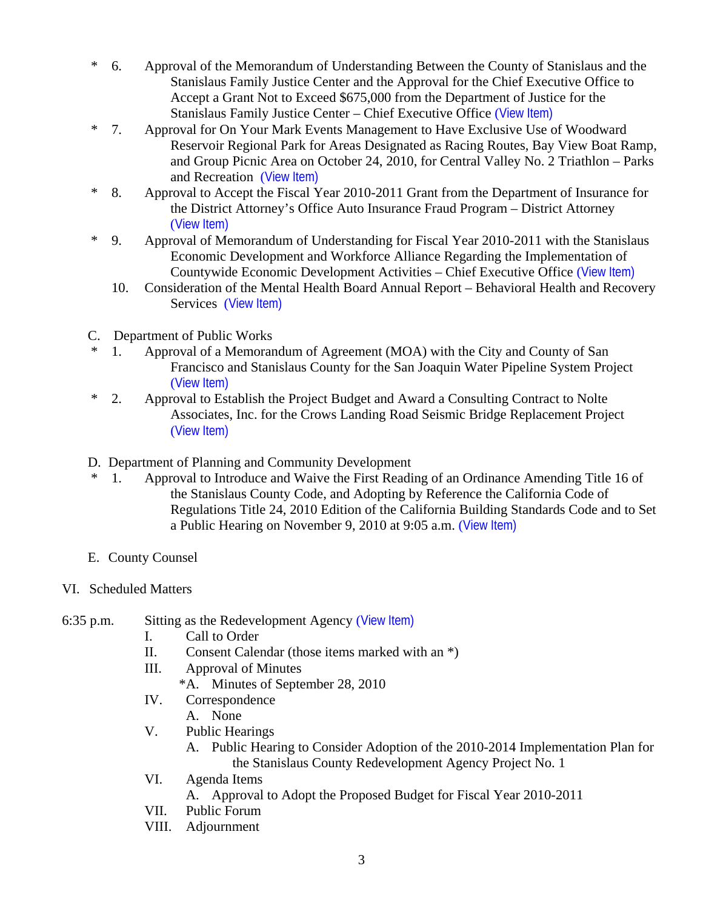- \* 6. Approval of the Memorandum of Understanding Between the County of Stanislaus and the Stanislaus Family Justice Center and the Approval for the Chief Executive Office to Accept a Grant Not to Exceed \$675,000 from the Department of Justice for the Stanislaus Family Justice Center – Chief Executive Office ([View Item\)](http://www.stancounty.com/bos/agenda/2010/20101019/B06.pdf)
- \* 7. Approval for On Your Mark Events Management to Have Exclusive Use of Woodward Reservoir Regional Park for Areas Designated as Racing Routes, Bay View Boat Ramp, and Group Picnic Area on October 24, 2010, for Central Valley No. 2 Triathlon – Parks and Recreation ([View Item\)](http://www.stancounty.com/bos/agenda/2010/20101019/B07.pdf)
- \* 8. Approval to Accept the Fiscal Year 2010-2011 Grant from the Department of Insurance for the District Attorney's Office Auto Insurance Fraud Program – District Attorney ([View Item\)](http://www.stancounty.com/bos/agenda/2010/20101019/B08.pdf)
- \* 9. Approval of Memorandum of Understanding for Fiscal Year 2010-2011 with the Stanislaus Economic Development and Workforce Alliance Regarding the Implementation of Countywide Economic Development Activities – Chief Executive Office ([View Item\)](http://www.stancounty.com/bos/agenda/2010/20101019/B09.pdf)
	- 10. Consideration of the Mental Health Board Annual Report Behavioral Health and Recovery Services ([View Item\)](http://www.stancounty.com/bos/agenda/2010/20101019/B10.pdf)
- C. Department of Public Works
- 1. Approval of a Memorandum of Agreement (MOA) with the City and County of San Francisco and Stanislaus County for the San Joaquin Water Pipeline System Project ([View Item\)](http://www.stancounty.com/bos/agenda/2010/20101019/C01.pdf)
- \* 2. Approval to Establish the Project Budget and Award a Consulting Contract to Nolte Associates, Inc. for the Crows Landing Road Seismic Bridge Replacement Project ([View Item\)](http://www.stancounty.com/bos/agenda/2010/20101019/C02.pdf)
- D. Department of Planning and Community Development
- \* 1. Approval to Introduce and Waive the First Reading of an Ordinance Amending Title 16 of the Stanislaus County Code, and Adopting by Reference the California Code of Regulations Title 24, 2010 Edition of the California Building Standards Code and to Set a Public Hearing on November 9, 2010 at 9:05 a.m. ([View Item\)](http://www.stancounty.com/bos/agenda/2010/20101019/D01.pdf)
- E. County Counsel
- VI. Scheduled Matters
- 6:35 p.m. Sitting as the Redevelopment Agency ([View Item\)](http://www.stancounty.com/bos/agenda/2010/20101019/PH635.pdf)
	- I. Call to Order
	- II. Consent Calendar (those items marked with an \*)
	- III. Approval of Minutes
		- \*A. Minutes of September 28, 2010
	- IV. Correspondence
		- A. None
	- V. Public Hearings
		- A. Public Hearing to Consider Adoption of the 2010-2014 Implementation Plan for the Stanislaus County Redevelopment Agency Project No. 1
	- VI. Agenda Items
		- A. Approval to Adopt the Proposed Budget for Fiscal Year 2010-2011
	- VII. Public Forum
	- VIII. Adjournment